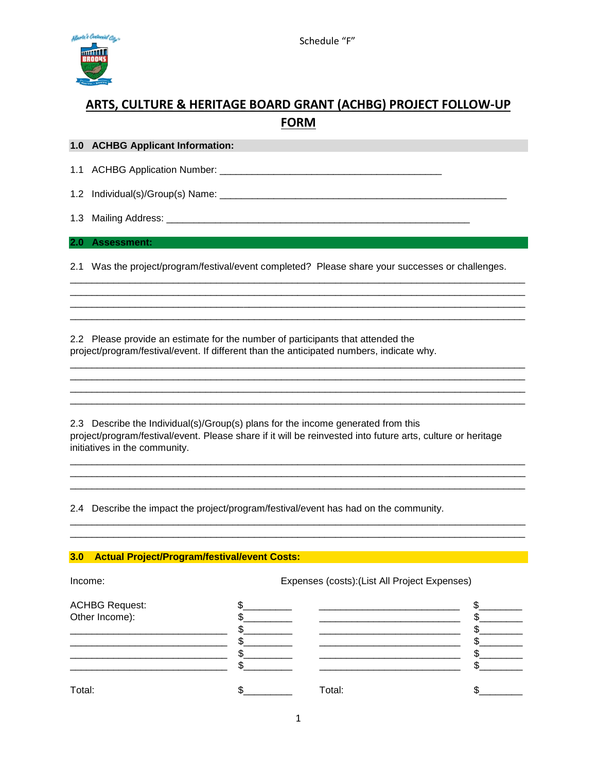

## **ARTS, CULTURE & HERITAGE BOARD GRANT (ACHBG) PROJECT FOLLOW-UP FORM**

**1.0 ACHBG Applicant Information:**

1.1 ACHBG Application Number: \_\_\_\_\_\_\_\_\_\_\_\_\_\_\_\_\_\_\_\_\_\_\_\_\_\_\_\_\_\_\_\_\_\_\_\_\_\_\_\_\_

1.2 Individual(s)/Group(s) Name:

1.3 Mailing Address: **with a strategies of the strategies of the strategies** of the strategies of the strategies of the strategies of the strategies of the strategies of the strategies of the strategies of the strategies o

**2.0 Assessment:**

2.1 Was the project/program/festival/event completed? Please share your successes or challenges.

\_\_\_\_\_\_\_\_\_\_\_\_\_\_\_\_\_\_\_\_\_\_\_\_\_\_\_\_\_\_\_\_\_\_\_\_\_\_\_\_\_\_\_\_\_\_\_\_\_\_\_\_\_\_\_\_\_\_\_\_\_\_\_\_\_\_\_\_\_\_\_\_\_\_\_\_\_\_\_\_\_\_\_\_ \_\_\_\_\_\_\_\_\_\_\_\_\_\_\_\_\_\_\_\_\_\_\_\_\_\_\_\_\_\_\_\_\_\_\_\_\_\_\_\_\_\_\_\_\_\_\_\_\_\_\_\_\_\_\_\_\_\_\_\_\_\_\_\_\_\_\_\_\_\_\_\_\_\_\_\_\_\_\_\_\_\_\_\_

\_\_\_\_\_\_\_\_\_\_\_\_\_\_\_\_\_\_\_\_\_\_\_\_\_\_\_\_\_\_\_\_\_\_\_\_\_\_\_\_\_\_\_\_\_\_\_\_\_\_\_\_\_\_\_\_\_\_\_\_\_\_\_\_\_\_\_\_\_\_\_\_\_\_\_\_\_\_\_\_\_\_\_\_

\_\_\_\_\_\_\_\_\_\_\_\_\_\_\_\_\_\_\_\_\_\_\_\_\_\_\_\_\_\_\_\_\_\_\_\_\_\_\_\_\_\_\_\_\_\_\_\_\_\_\_\_\_\_\_\_\_\_\_\_\_\_\_\_\_\_\_\_\_\_\_\_\_\_\_\_\_\_\_\_\_\_\_\_ \_\_\_\_\_\_\_\_\_\_\_\_\_\_\_\_\_\_\_\_\_\_\_\_\_\_\_\_\_\_\_\_\_\_\_\_\_\_\_\_\_\_\_\_\_\_\_\_\_\_\_\_\_\_\_\_\_\_\_\_\_\_\_\_\_\_\_\_\_\_\_\_\_\_\_\_\_\_\_\_\_\_\_\_ \_\_\_\_\_\_\_\_\_\_\_\_\_\_\_\_\_\_\_\_\_\_\_\_\_\_\_\_\_\_\_\_\_\_\_\_\_\_\_\_\_\_\_\_\_\_\_\_\_\_\_\_\_\_\_\_\_\_\_\_\_\_\_\_\_\_\_\_\_\_\_\_\_\_\_\_\_\_\_\_\_\_\_\_ \_\_\_\_\_\_\_\_\_\_\_\_\_\_\_\_\_\_\_\_\_\_\_\_\_\_\_\_\_\_\_\_\_\_\_\_\_\_\_\_\_\_\_\_\_\_\_\_\_\_\_\_\_\_\_\_\_\_\_\_\_\_\_\_\_\_\_\_\_\_\_\_\_\_\_\_\_\_\_\_\_\_\_\_

2.2 Please provide an estimate for the number of participants that attended the project/program/festival/event. If different than the anticipated numbers, indicate why.

2.3 Describe the Individual(s)/Group(s) plans for the income generated from this project/program/festival/event. Please share if it will be reinvested into future arts, culture or heritage initiatives in the community.

\_\_\_\_\_\_\_\_\_\_\_\_\_\_\_\_\_\_\_\_\_\_\_\_\_\_\_\_\_\_\_\_\_\_\_\_\_\_\_\_\_\_\_\_\_\_\_\_\_\_\_\_\_\_\_\_\_\_\_\_\_\_\_\_\_\_\_\_\_\_\_\_\_\_\_\_\_\_\_\_\_\_\_\_

\_\_\_\_\_\_\_\_\_\_\_\_\_\_\_\_\_\_\_\_\_\_\_\_\_\_\_\_\_\_\_\_\_\_\_\_\_\_\_\_\_\_\_\_\_\_\_\_\_\_\_\_\_\_\_\_\_\_\_\_\_\_\_\_\_\_\_\_\_\_\_\_\_\_\_\_\_\_\_\_\_\_\_\_

\_\_\_\_\_\_\_\_\_\_\_\_\_\_\_\_\_\_\_\_\_\_\_\_\_\_\_\_\_\_\_\_\_\_\_\_\_\_\_\_\_\_\_\_\_\_\_\_\_\_\_\_\_\_\_\_\_\_\_\_\_\_\_\_\_\_\_\_\_\_\_\_\_\_\_\_\_\_\_\_\_\_\_\_ \_\_\_\_\_\_\_\_\_\_\_\_\_\_\_\_\_\_\_\_\_\_\_\_\_\_\_\_\_\_\_\_\_\_\_\_\_\_\_\_\_\_\_\_\_\_\_\_\_\_\_\_\_\_\_\_\_\_\_\_\_\_\_\_\_\_\_\_\_\_\_\_\_\_\_\_\_\_\_\_\_\_\_\_

2.4 Describe the impact the project/program/festival/event has had on the community.

## **3.0 Actual Project/Program/festival/event Costs:**

| Income: |  |
|---------|--|
|         |  |

Expenses (costs): (List All Project Expenses)

| <b>ACHBG Request:</b> |        |  |
|-----------------------|--------|--|
| Other Income):        |        |  |
|                       |        |  |
|                       |        |  |
|                       |        |  |
|                       |        |  |
| Total:                | Total: |  |